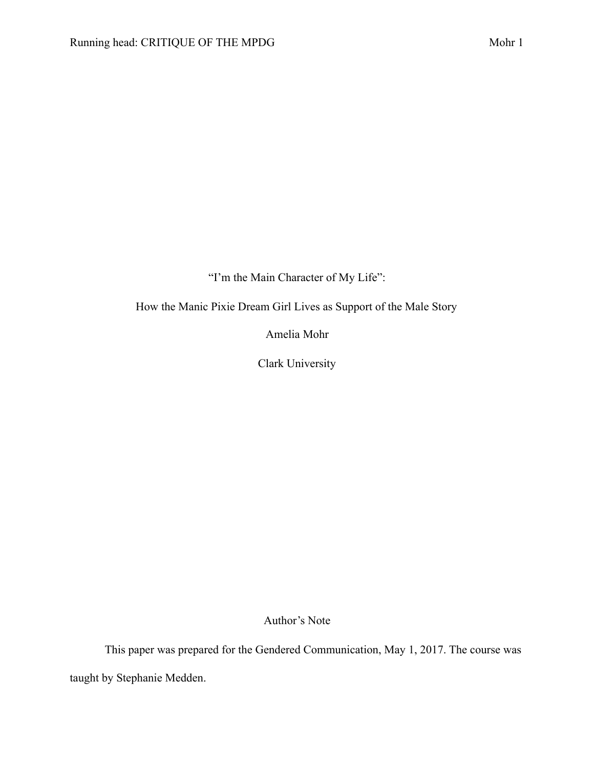"I'm the Main Character of My Life":

How the Manic Pixie Dream Girl Lives as Support of the Male Story

Amelia Mohr

Clark University

Author's Note

This paper was prepared for the Gendered Communication, May 1, 2017. The course was taught by Stephanie Medden.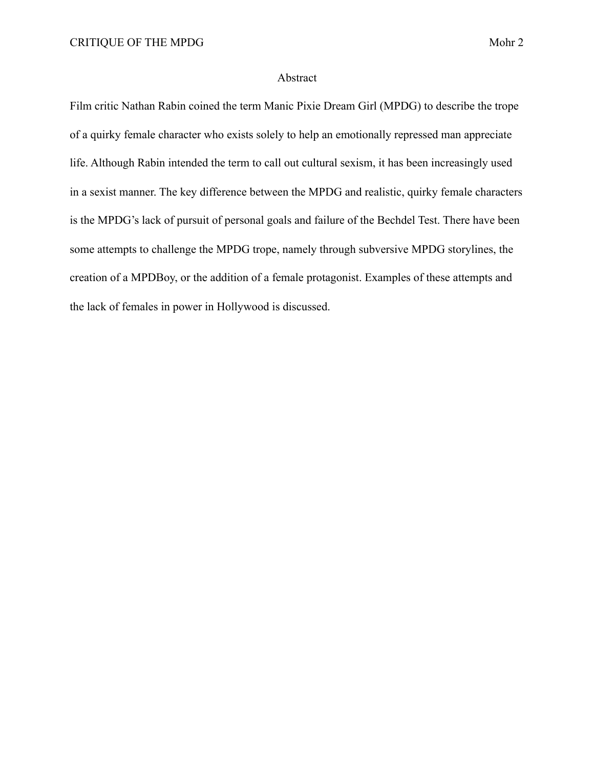## Abstract

Film critic Nathan Rabin coined the term Manic Pixie Dream Girl (MPDG) to describe the trope of a quirky female character who exists solely to help an emotionally repressed man appreciate life. Although Rabin intended the term to call out cultural sexism, it has been increasingly used in a sexist manner. The key difference between the MPDG and realistic, quirky female characters is the MPDG's lack of pursuit of personal goals and failure of the Bechdel Test. There have been some attempts to challenge the MPDG trope, namely through subversive MPDG storylines, the creation of a MPDBoy, or the addition of a female protagonist. Examples of these attempts and the lack of females in power in Hollywood is discussed.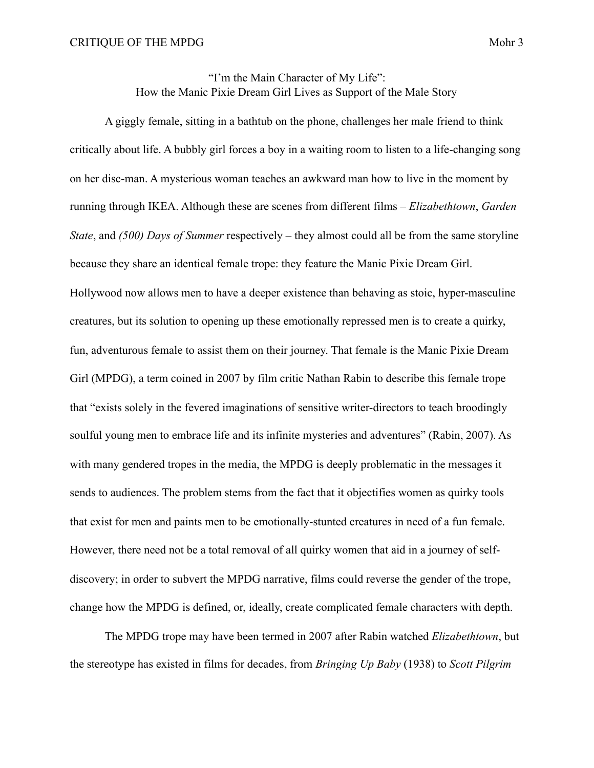"I'm the Main Character of My Life": How the Manic Pixie Dream Girl Lives as Support of the Male Story

 A giggly female, sitting in a bathtub on the phone, challenges her male friend to think critically about life. A bubbly girl forces a boy in a waiting room to listen to a life-changing song on her disc-man. A mysterious woman teaches an awkward man how to live in the moment by running through IKEA. Although these are scenes from different films – *Elizabethtown*, *Garden State*, and *(500) Days of Summer* respectively – they almost could all be from the same storyline because they share an identical female trope: they feature the Manic Pixie Dream Girl. Hollywood now allows men to have a deeper existence than behaving as stoic, hyper-masculine creatures, but its solution to opening up these emotionally repressed men is to create a quirky, fun, adventurous female to assist them on their journey. That female is the Manic Pixie Dream Girl (MPDG), a term coined in 2007 by film critic Nathan Rabin to describe this female trope that "exists solely in the fevered imaginations of sensitive writer-directors to teach broodingly soulful young men to embrace life and its infinite mysteries and adventures" (Rabin, 2007). As with many gendered tropes in the media, the MPDG is deeply problematic in the messages it sends to audiences. The problem stems from the fact that it objectifies women as quirky tools that exist for men and paints men to be emotionally-stunted creatures in need of a fun female. However, there need not be a total removal of all quirky women that aid in a journey of selfdiscovery; in order to subvert the MPDG narrative, films could reverse the gender of the trope, change how the MPDG is defined, or, ideally, create complicated female characters with depth.

 The MPDG trope may have been termed in 2007 after Rabin watched *Elizabethtown*, but the stereotype has existed in films for decades, from *Bringing Up Baby* (1938) to *Scott Pilgrim*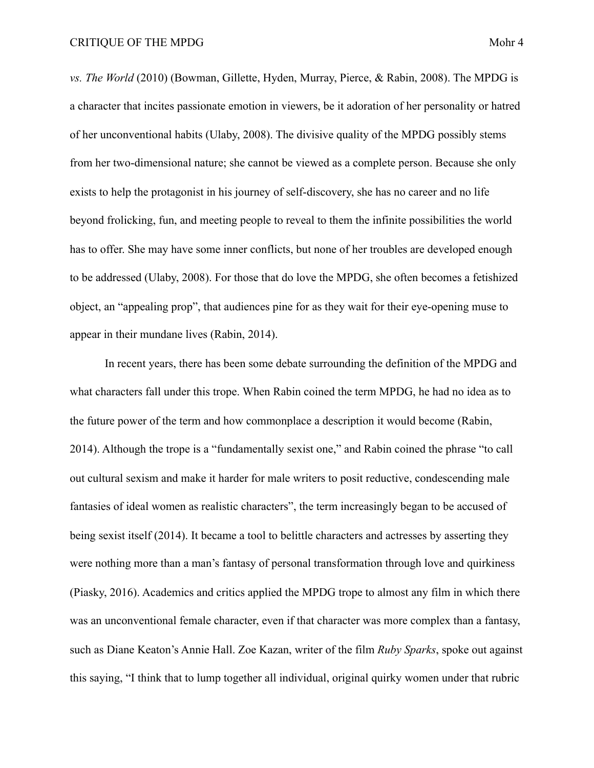*vs. The World* (2010) (Bowman, Gillette, Hyden, Murray, Pierce, & Rabin, 2008). The MPDG is a character that incites passionate emotion in viewers, be it adoration of her personality or hatred of her unconventional habits (Ulaby, 2008). The divisive quality of the MPDG possibly stems from her two-dimensional nature; she cannot be viewed as a complete person. Because she only exists to help the protagonist in his journey of self-discovery, she has no career and no life beyond frolicking, fun, and meeting people to reveal to them the infinite possibilities the world has to offer. She may have some inner conflicts, but none of her troubles are developed enough to be addressed (Ulaby, 2008). For those that do love the MPDG, she often becomes a fetishized object, an "appealing prop", that audiences pine for as they wait for their eye-opening muse to appear in their mundane lives (Rabin, 2014).

 In recent years, there has been some debate surrounding the definition of the MPDG and what characters fall under this trope. When Rabin coined the term MPDG, he had no idea as to the future power of the term and how commonplace a description it would become (Rabin, 2014). Although the trope is a "fundamentally sexist one," and Rabin coined the phrase "to call out cultural sexism and make it harder for male writers to posit reductive, condescending male fantasies of ideal women as realistic characters", the term increasingly began to be accused of being sexist itself (2014). It became a tool to belittle characters and actresses by asserting they were nothing more than a man's fantasy of personal transformation through love and quirkiness (Piasky, 2016). Academics and critics applied the MPDG trope to almost any film in which there was an unconventional female character, even if that character was more complex than a fantasy, such as Diane Keaton's Annie Hall. Zoe Kazan, writer of the film *Ruby Sparks*, spoke out against this saying, "I think that to lump together all individual, original quirky women under that rubric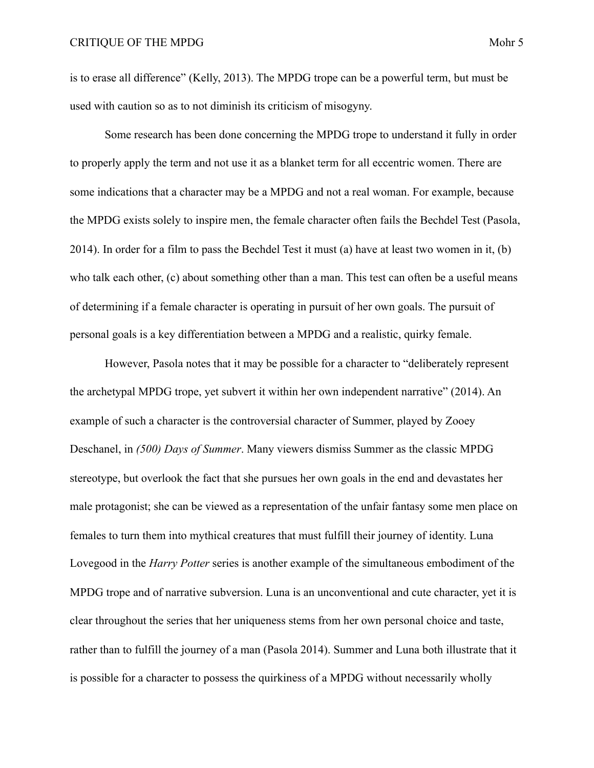is to erase all difference" (Kelly, 2013). The MPDG trope can be a powerful term, but must be used with caution so as to not diminish its criticism of misogyny.

 Some research has been done concerning the MPDG trope to understand it fully in order to properly apply the term and not use it as a blanket term for all eccentric women. There are some indications that a character may be a MPDG and not a real woman. For example, because the MPDG exists solely to inspire men, the female character often fails the Bechdel Test (Pasola, 2014). In order for a film to pass the Bechdel Test it must (a) have at least two women in it, (b) who talk each other, (c) about something other than a man. This test can often be a useful means of determining if a female character is operating in pursuit of her own goals. The pursuit of personal goals is a key differentiation between a MPDG and a realistic, quirky female.

 However, Pasola notes that it may be possible for a character to "deliberately represent the archetypal MPDG trope, yet subvert it within her own independent narrative" (2014). An example of such a character is the controversial character of Summer, played by Zooey Deschanel, in *(500) Days of Summer*. Many viewers dismiss Summer as the classic MPDG stereotype, but overlook the fact that she pursues her own goals in the end and devastates her male protagonist; she can be viewed as a representation of the unfair fantasy some men place on females to turn them into mythical creatures that must fulfill their journey of identity. Luna Lovegood in the *Harry Potter* series is another example of the simultaneous embodiment of the MPDG trope and of narrative subversion. Luna is an unconventional and cute character, yet it is clear throughout the series that her uniqueness stems from her own personal choice and taste, rather than to fulfill the journey of a man (Pasola 2014). Summer and Luna both illustrate that it is possible for a character to possess the quirkiness of a MPDG without necessarily wholly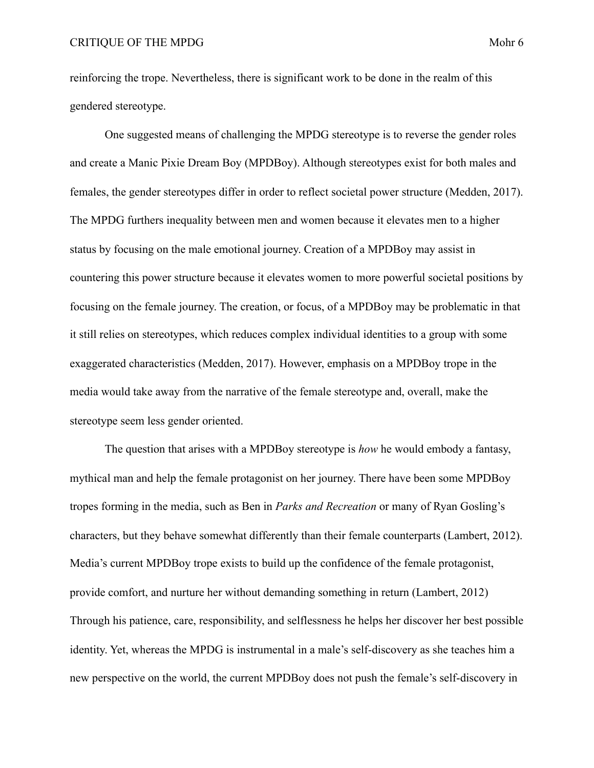reinforcing the trope. Nevertheless, there is significant work to be done in the realm of this gendered stereotype.

 One suggested means of challenging the MPDG stereotype is to reverse the gender roles and create a Manic Pixie Dream Boy (MPDBoy). Although stereotypes exist for both males and females, the gender stereotypes differ in order to reflect societal power structure (Medden, 2017). The MPDG furthers inequality between men and women because it elevates men to a higher status by focusing on the male emotional journey. Creation of a MPDBoy may assist in countering this power structure because it elevates women to more powerful societal positions by focusing on the female journey. The creation, or focus, of a MPDBoy may be problematic in that it still relies on stereotypes, which reduces complex individual identities to a group with some exaggerated characteristics (Medden, 2017). However, emphasis on a MPDBoy trope in the media would take away from the narrative of the female stereotype and, overall, make the stereotype seem less gender oriented.

 The question that arises with a MPDBoy stereotype is *how* he would embody a fantasy, mythical man and help the female protagonist on her journey. There have been some MPDBoy tropes forming in the media, such as Ben in *Parks and Recreation* or many of Ryan Gosling's characters, but they behave somewhat differently than their female counterparts (Lambert, 2012). Media's current MPDBoy trope exists to build up the confidence of the female protagonist, provide comfort, and nurture her without demanding something in return (Lambert, 2012) Through his patience, care, responsibility, and selflessness he helps her discover her best possible identity. Yet, whereas the MPDG is instrumental in a male's self-discovery as she teaches him a new perspective on the world, the current MPDBoy does not push the female's self-discovery in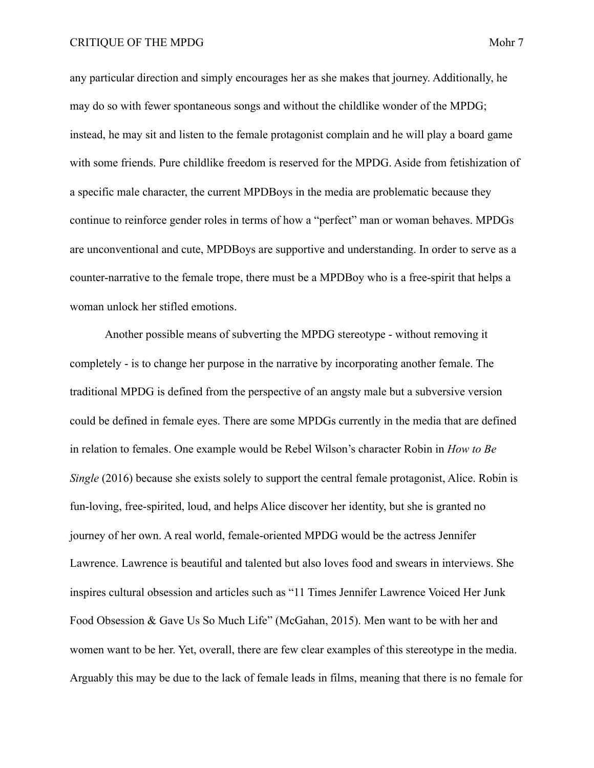any particular direction and simply encourages her as she makes that journey. Additionally, he may do so with fewer spontaneous songs and without the childlike wonder of the MPDG; instead, he may sit and listen to the female protagonist complain and he will play a board game with some friends. Pure childlike freedom is reserved for the MPDG. Aside from fetishization of a specific male character, the current MPDBoys in the media are problematic because they continue to reinforce gender roles in terms of how a "perfect" man or woman behaves. MPDGs are unconventional and cute, MPDBoys are supportive and understanding. In order to serve as a counter-narrative to the female trope, there must be a MPDBoy who is a free-spirit that helps a woman unlock her stifled emotions.

 Another possible means of subverting the MPDG stereotype - without removing it completely - is to change her purpose in the narrative by incorporating another female. The traditional MPDG is defined from the perspective of an angsty male but a subversive version could be defined in female eyes. There are some MPDGs currently in the media that are defined in relation to females. One example would be Rebel Wilson's character Robin in *How to Be Single* (2016) because she exists solely to support the central female protagonist, Alice. Robin is fun-loving, free-spirited, loud, and helps Alice discover her identity, but she is granted no journey of her own. A real world, female-oriented MPDG would be the actress Jennifer Lawrence. Lawrence is beautiful and talented but also loves food and swears in interviews. She inspires cultural obsession and articles such as "11 Times Jennifer Lawrence Voiced Her Junk Food Obsession & Gave Us So Much Life" (McGahan, 2015). Men want to be with her and women want to be her. Yet, overall, there are few clear examples of this stereotype in the media. Arguably this may be due to the lack of female leads in films, meaning that there is no female for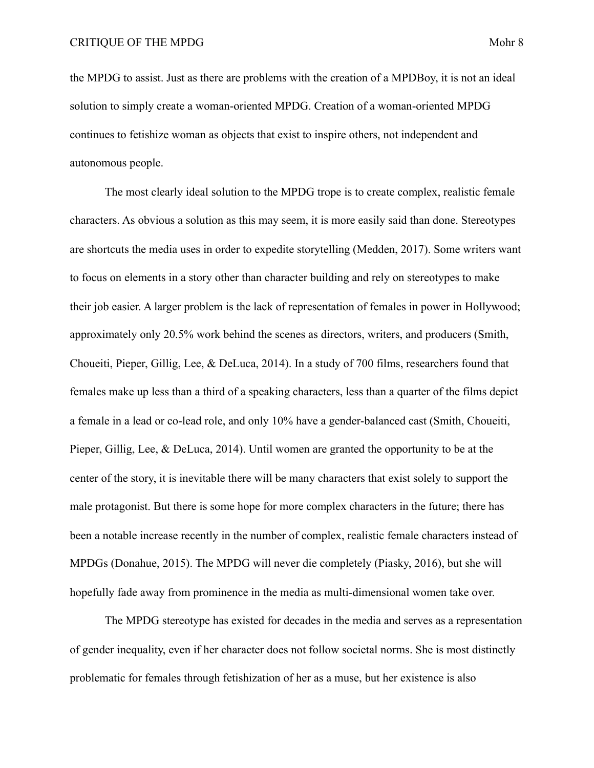the MPDG to assist. Just as there are problems with the creation of a MPDBoy, it is not an ideal solution to simply create a woman-oriented MPDG. Creation of a woman-oriented MPDG continues to fetishize woman as objects that exist to inspire others, not independent and autonomous people.

 The most clearly ideal solution to the MPDG trope is to create complex, realistic female characters. As obvious a solution as this may seem, it is more easily said than done. Stereotypes are shortcuts the media uses in order to expedite storytelling (Medden, 2017). Some writers want to focus on elements in a story other than character building and rely on stereotypes to make their job easier. A larger problem is the lack of representation of females in power in Hollywood; approximately only 20.5% work behind the scenes as directors, writers, and producers (Smith, Choueiti, Pieper, Gillig, Lee, & DeLuca, 2014). In a study of 700 films, researchers found that females make up less than a third of a speaking characters, less than a quarter of the films depict a female in a lead or co-lead role, and only 10% have a gender-balanced cast (Smith, Choueiti, Pieper, Gillig, Lee, & DeLuca, 2014). Until women are granted the opportunity to be at the center of the story, it is inevitable there will be many characters that exist solely to support the male protagonist. But there is some hope for more complex characters in the future; there has been a notable increase recently in the number of complex, realistic female characters instead of MPDGs (Donahue, 2015). The MPDG will never die completely (Piasky, 2016), but she will hopefully fade away from prominence in the media as multi-dimensional women take over.

 The MPDG stereotype has existed for decades in the media and serves as a representation of gender inequality, even if her character does not follow societal norms. She is most distinctly problematic for females through fetishization of her as a muse, but her existence is also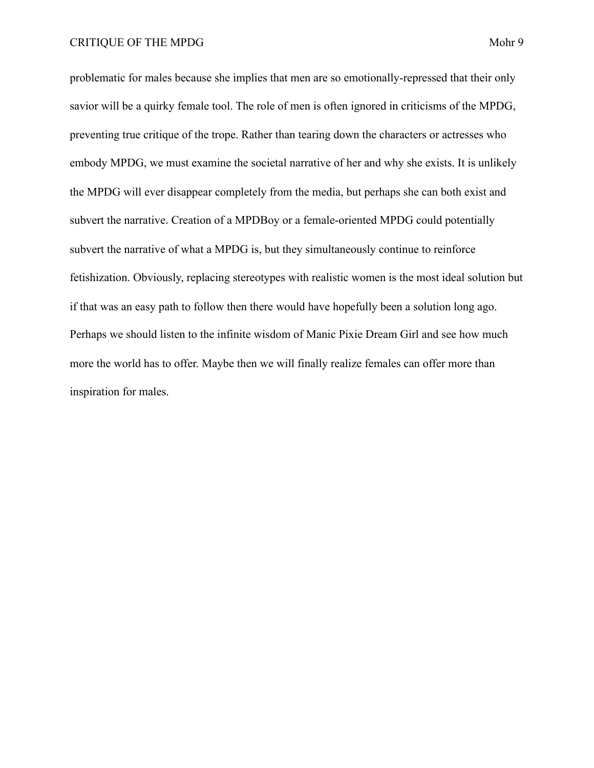problematic for males because she implies that men are so emotionally-repressed that their only savior will be a quirky female tool. The role of men is often ignored in criticisms of the MPDG, preventing true critique of the trope. Rather than tearing down the characters or actresses who embody MPDG, we must examine the societal narrative of her and why she exists. It is unlikely the MPDG will ever disappear completely from the media, but perhaps she can both exist and subvert the narrative. Creation of a MPDBoy or a female-oriented MPDG could potentially subvert the narrative of what a MPDG is, but they simultaneously continue to reinforce fetishization. Obviously, replacing stereotypes with realistic women is the most ideal solution but if that was an easy path to follow then there would have hopefully been a solution long ago. Perhaps we should listen to the infinite wisdom of Manic Pixie Dream Girl and see how much more the world has to offer. Maybe then we will finally realize females can offer more than inspiration for males.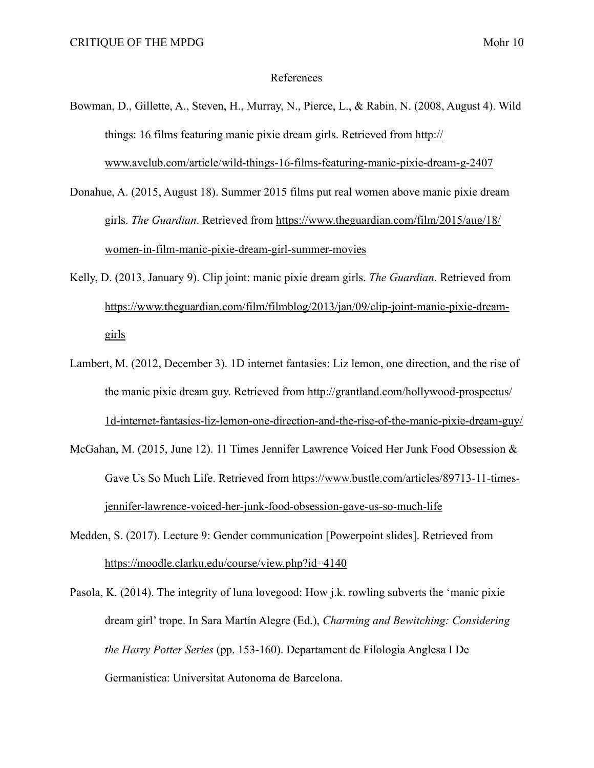## References

- Bowman, D., Gillette, A., Steven, H., Murray, N., Pierce, L., & Rabin, N. (2008, August 4). Wild things: 16 films featuring manic pixie dream girls. Retrieved from [http://](http://www.avclub.com/article/wild-things-16-films-featuring-manic-pixie-dream-g-2407) [www.avclub.com/article/wild-things-16-films-featuring-manic-pixie-dream-g-2407](http://www.avclub.com/article/wild-things-16-films-featuring-manic-pixie-dream-g-2407)
- Donahue, A. (2015, August 18). Summer 2015 films put real women above manic pixie dream girls. *The Guardian*. Retrieved from [https://www.theguardian.com/film/2015/aug/18/](https://www.theguardian.com/film/2015/aug/18/women-in-film-manic-pixie-dream-girl-summer-movies) [women-in-film-manic-pixie-dream-girl-summer-movies](https://www.theguardian.com/film/2015/aug/18/women-in-film-manic-pixie-dream-girl-summer-movies)
- Kelly, D. (2013, January 9). Clip joint: manic pixie dream girls. *The Guardian*. Retrieved from [https://www.theguardian.com/film/filmblog/2013/jan/09/clip-joint-manic-pixie-dream](https://www.theguardian.com/film/filmblog/2013/jan/09/clip-joint-manic-pixie-dream-girls)[girls](https://www.theguardian.com/film/filmblog/2013/jan/09/clip-joint-manic-pixie-dream-girls)
- Lambert, M. (2012, December 3). 1D internet fantasies: Liz lemon, one direction, and the rise of the manic pixie dream guy. Retrieved from [http://grantland.com/hollywood-prospectus/](http://grantland.com/hollywood-prospectus/1d-internet-fantasies-liz-lemon-one-direction-and-the-rise-of-the-manic-pixie-dream-guy/) [1d-internet-fantasies-liz-lemon-one-direction-and-the-rise-of-the-manic-pixie-dream-guy/](http://grantland.com/hollywood-prospectus/1d-internet-fantasies-liz-lemon-one-direction-and-the-rise-of-the-manic-pixie-dream-guy/)
- McGahan, M. (2015, June 12). 11 Times Jennifer Lawrence Voiced Her Junk Food Obsession & Gave Us So Much Life. Retrieved from [https://www.bustle.com/articles/89713-11-times](https://www.bustle.com/articles/89713-11-times-jennifer-lawrence-voiced-her-junk-food-obsession-gave-us-so-much-life)[jennifer-lawrence-voiced-her-junk-food-obsession-gave-us-so-much-life](https://www.bustle.com/articles/89713-11-times-jennifer-lawrence-voiced-her-junk-food-obsession-gave-us-so-much-life)
- Medden, S. (2017). Lecture 9: Gender communication [Powerpoint slides]. Retrieved from <https://moodle.clarku.edu/course/view.php?id=4140>
- Pasola, K. (2014). The integrity of luna lovegood: How j.k. rowling subverts the 'manic pixie dream girl' trope. In Sara Martín Alegre (Ed.), *Charming and Bewitching: Considering the Harry Potter Series* (pp. 153-160). Departament de Filologia Anglesa I De Germanistica: Universitat Autonoma de Barcelona.